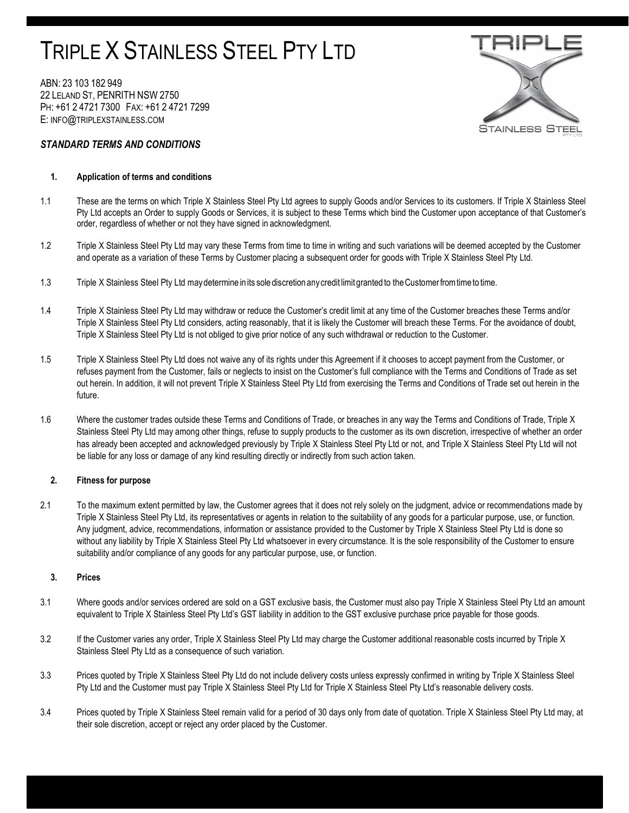# TRIPLE X STAINLESS STEEL PTY LTD

ABN: 23 103 182 949 22 LELAND ST, PENRITH NSW 2750 PH: +61 2 4721 7300 FAX: +61 2 4721 7299 E: INFO@TRIPLEXSTAINLESS.COM



# STANDARD TERMS AND CONDITIONS

# 1. Application of terms and conditions

- 1.1 These are the terms on which Triple X Stainless Steel Pty Ltd agrees to supply Goods and/or Services to its customers. If Triple X Stainless Steel Pty Ltd accepts an Order to supply Goods or Services, it is subject to these Terms which bind the Customer upon acceptance of that Customer's order, regardless of whether or not they have signed in acknowledgment.
- 1.2 Triple X Stainless Steel Pty Ltd may vary these Terms from time to time in writing and such variations will be deemed accepted by the Customer and operate as a variation of these Terms by Customer placing a subsequent order for goods with Triple X Stainless Steel Pty Ltd.
- 1.3 Triple X Stainless Steel Pty Ltd may determine in its sole discretion any credit limit granted to the Customer from time to time.
- 1.4 Triple X Stainless Steel Pty Ltd may withdraw or reduce the Customer's credit limit at any time of the Customer breaches these Terms and/or Triple X Stainless Steel Pty Ltd considers, acting reasonably, that it is likely the Customer will breach these Terms. For the avoidance of doubt, Triple X Stainless Steel Pty Ltd is not obliged to give prior notice of any such withdrawal or reduction to the Customer.
- 1.5 Triple X Stainless Steel Pty Ltd does not waive any of its rights under this Agreement if it chooses to accept payment from the Customer, or refuses payment from the Customer, fails or neglects to insist on the Customer's full compliance with the Terms and Conditions of Trade as set out herein. In addition, it will not prevent Triple X Stainless Steel Pty Ltd from exercising the Terms and Conditions of Trade set out herein in the future.
- 1.6 Where the customer trades outside these Terms and Conditions of Trade, or breaches in any way the Terms and Conditions of Trade, Triple X Stainless Steel Pty Ltd may among other things, refuse to supply products to the customer as its own discretion, irrespective of whether an order has already been accepted and acknowledged previously by Triple X Stainless Steel Pty Ltd or not, and Triple X Stainless Steel Pty Ltd will not be liable for any loss or damage of any kind resulting directly or indirectly from such action taken.

# 2. Fitness for purpose

2.1 To the maximum extent permitted by law, the Customer agrees that it does not rely solely on the judgment, advice or recommendations made by Triple X Stainless Steel Pty Ltd, its representatives or agents in relation to the suitability of any goods for a particular purpose, use, or function. Any judgment, advice, recommendations, information or assistance provided to the Customer by Triple X Stainless Steel Pty Ltd is done so without any liability by Triple X Stainless Steel Pty Ltd whatsoever in every circumstance. It is the sole responsibility of the Customer to ensure suitability and/or compliance of any goods for any particular purpose, use, or function.

## 3. Prices

- 3.1 Where goods and/or services ordered are sold on a GST exclusive basis, the Customer must also pay Triple X Stainless Steel Pty Ltd an amount equivalent to Triple X Stainless Steel Pty Ltd's GST liability in addition to the GST exclusive purchase price payable for those goods.
- 3.2 If the Customer varies any order, Triple X Stainless Steel Pty Ltd may charge the Customer additional reasonable costs incurred by Triple X Stainless Steel Pty Ltd as a consequence of such variation.
- 3.3 Prices quoted by Triple X Stainless Steel Pty Ltd do not include delivery costs unless expressly confirmed in writing by Triple X Stainless Steel Pty Ltd and the Customer must pay Triple X Stainless Steel Pty Ltd for Triple X Stainless Steel Pty Ltd's reasonable delivery costs.
- 3.4 Prices quoted by Triple X Stainless Steel remain valid for a period of 30 days only from date of quotation. Triple X Stainless Steel Pty Ltd may, at their sole discretion, accept or reject any order placed by the Customer.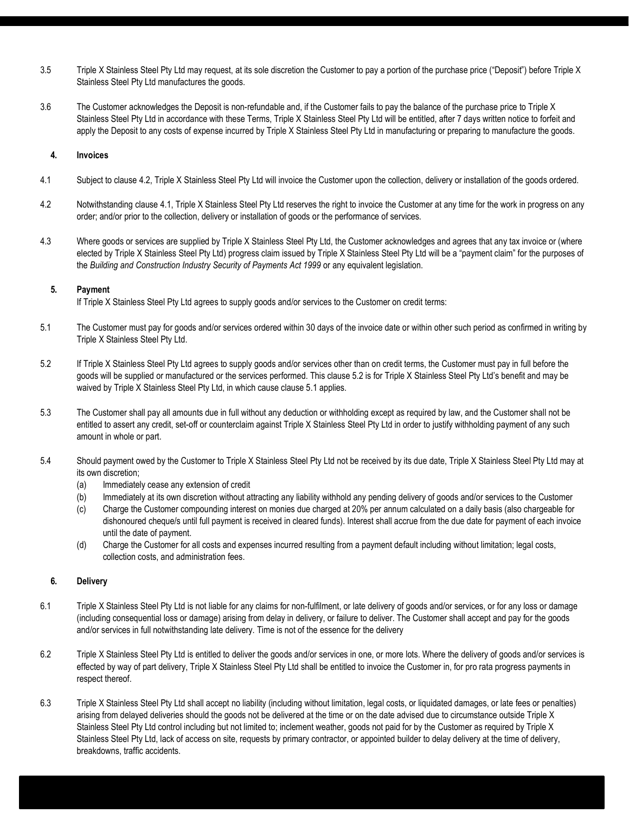- 3.5 Triple X Stainless Steel Pty Ltd may request, at its sole discretion the Customer to pay a portion of the purchase price ("Deposit") before Triple X Stainless Steel Pty Ltd manufactures the goods.
- 3.6 The Customer acknowledges the Deposit is non-refundable and, if the Customer fails to pay the balance of the purchase price to Triple X Stainless Steel Pty Ltd in accordance with these Terms, Triple X Stainless Steel Pty Ltd will be entitled, after 7 days written notice to forfeit and apply the Deposit to any costs of expense incurred by Triple X Stainless Steel Pty Ltd in manufacturing or preparing to manufacture the goods.

# 4. Invoices

- 4.1 Subject to clause 4.2, Triple X Stainless Steel Pty Ltd will invoice the Customer upon the collection, delivery or installation of the goods ordered.
- 4.2 Notwithstanding clause 4.1, Triple X Stainless Steel Pty Ltd reserves the right to invoice the Customer at any time for the work in progress on any order; and/or prior to the collection, delivery or installation of goods or the performance of services.
- 4.3 Where goods or services are supplied by Triple X Stainless Steel Pty Ltd, the Customer acknowledges and agrees that any tax invoice or (where elected by Triple X Stainless Steel Pty Ltd) progress claim issued by Triple X Stainless Steel Pty Ltd will be a "payment claim" for the purposes of the Building and Construction Industry Security of Payments Act 1999 or any equivalent legislation.

# 5. Payment

If Triple X Stainless Steel Pty Ltd agrees to supply goods and/or services to the Customer on credit terms:

- 5.1 The Customer must pay for goods and/or services ordered within 30 days of the invoice date or within other such period as confirmed in writing by Triple X Stainless Steel Pty Ltd.
- 5.2 If Triple X Stainless Steel Pty Ltd agrees to supply goods and/or services other than on credit terms, the Customer must pay in full before the goods will be supplied or manufactured or the services performed. This clause 5.2 is for Triple X Stainless Steel Pty Ltd's benefit and may be waived by Triple X Stainless Steel Pty Ltd, in which cause clause 5.1 applies.
- 5.3 The Customer shall pay all amounts due in full without any deduction or withholding except as required by law, and the Customer shall not be entitled to assert any credit, set-off or counterclaim against Triple X Stainless Steel Pty Ltd in order to justify withholding payment of any such amount in whole or part.
- 5.4 Should payment owed by the Customer to Triple X Stainless Steel Pty Ltd not be received by its due date, Triple X Stainless Steel Pty Ltd may at its own discretion;
	- (a) Immediately cease any extension of credit
	- (b) Immediately at its own discretion without attracting any liability withhold any pending delivery of goods and/or services to the Customer
	- (c) Charge the Customer compounding interest on monies due charged at 20% per annum calculated on a daily basis (also chargeable for dishonoured cheque/s until full payment is received in cleared funds). Interest shall accrue from the due date for payment of each invoice until the date of payment.
	- (d) Charge the Customer for all costs and expenses incurred resulting from a payment default including without limitation; legal costs, collection costs, and administration fees.

# 6. Delivery

- 6.1 Triple X Stainless Steel Pty Ltd is not liable for any claims for non-fulfilment, or late delivery of goods and/or services, or for any loss or damage (including consequential loss or damage) arising from delay in delivery, or failure to deliver. The Customer shall accept and pay for the goods and/or services in full notwithstanding late delivery. Time is not of the essence for the delivery
- 6.2 Triple X Stainless Steel Pty Ltd is entitled to deliver the goods and/or services in one, or more lots. Where the delivery of goods and/or services is effected by way of part delivery, Triple X Stainless Steel Pty Ltd shall be entitled to invoice the Customer in, for pro rata progress payments in respect thereof.
- 6.3 Triple X Stainless Steel Pty Ltd shall accept no liability (including without limitation, legal costs, or liquidated damages, or late fees or penalties) arising from delayed deliveries should the goods not be delivered at the time or on the date advised due to circumstance outside Triple X Stainless Steel Pty Ltd control including but not limited to; inclement weather, goods not paid for by the Customer as required by Triple X Stainless Steel Pty Ltd, lack of access on site, requests by primary contractor, or appointed builder to delay delivery at the time of delivery, breakdowns, traffic accidents.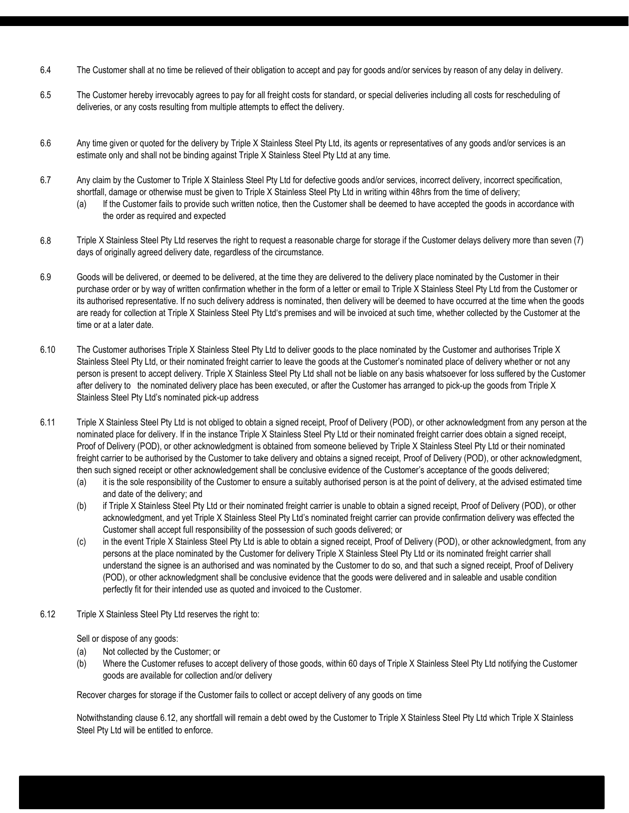- 6.4 The Customer shall at no time be relieved of their obligation to accept and pay for goods and/or services by reason of any delay in delivery.
- 6.5 The Customer hereby irrevocably agrees to pay for all freight costs for standard, or special deliveries including all costs for rescheduling of deliveries, or any costs resulting from multiple attempts to effect the delivery.
- 6.6 Any time given or quoted for the delivery by Triple X Stainless Steel Pty Ltd, its agents or representatives of any goods and/or services is an estimate only and shall not be binding against Triple X Stainless Steel Pty Ltd at any time.
- 6.7 Any claim by the Customer to Triple X Stainless Steel Pty Ltd for defective goods and/or services, incorrect delivery, incorrect specification, shortfall, damage or otherwise must be given to Triple X Stainless Steel Pty Ltd in writing within 48hrs from the time of delivery;
	- (a) If the Customer fails to provide such written notice, then the Customer shall be deemed to have accepted the goods in accordance with the order as required and expected
- 6.8 Triple X Stainless Steel Pty Ltd reserves the right to request a reasonable charge for storage if the Customer delays delivery more than seven (7) days of originally agreed delivery date, regardless of the circumstance.
- 6.9 Goods will be delivered, or deemed to be delivered, at the time they are delivered to the delivery place nominated by the Customer in their purchase order or by way of written confirmation whether in the form of a letter or email to Triple X Stainless Steel Pty Ltd from the Customer or its authorised representative. If no such delivery address is nominated, then delivery will be deemed to have occurred at the time when the goods are ready for collection at Triple X Stainless Steel Pty Ltd's premises and will be invoiced at such time, whether collected by the Customer at the time or at a later date.
- 6.10 The Customer authorises Triple X Stainless Steel Pty Ltd to deliver goods to the place nominated by the Customer and authorises Triple X Stainless Steel Pty Ltd, or their nominated freight carrier to leave the goods at the Customer's nominated place of delivery whether or not any person is present to accept delivery. Triple X Stainless Steel Pty Ltd shall not be liable on any basis whatsoever for loss suffered by the Customer after delivery to the nominated delivery place has been executed, or after the Customer has arranged to pick-up the goods from Triple X Stainless Steel Pty Ltd's nominated pick-up address
- 6.11 Triple X Stainless Steel Pty Ltd is not obliged to obtain a signed receipt, Proof of Delivery (POD), or other acknowledgment from any person at the nominated place for delivery. If in the instance Triple X Stainless Steel Pty Ltd or their nominated freight carrier does obtain a signed receipt, Proof of Delivery (POD), or other acknowledgment is obtained from someone believed by Triple X Stainless Steel Pty Ltd or their nominated freight carrier to be authorised by the Customer to take delivery and obtains a signed receipt, Proof of Delivery (POD), or other acknowledgment, then such signed receipt or other acknowledgement shall be conclusive evidence of the Customer's acceptance of the goods delivered;
	- (a) it is the sole responsibility of the Customer to ensure a suitably authorised person is at the point of delivery, at the advised estimated time and date of the delivery; and
	- (b) if Triple X Stainless Steel Pty Ltd or their nominated freight carrier is unable to obtain a signed receipt, Proof of Delivery (POD), or other acknowledgment, and yet Triple X Stainless Steel Pty Ltd's nominated freight carrier can provide confirmation delivery was effected the Customer shall accept full responsibility of the possession of such goods delivered; or
	- (c) in the event Triple X Stainless Steel Pty Ltd is able to obtain a signed receipt, Proof of Delivery (POD), or other acknowledgment, from any persons at the place nominated by the Customer for delivery Triple X Stainless Steel Pty Ltd or its nominated freight carrier shall understand the signee is an authorised and was nominated by the Customer to do so, and that such a signed receipt, Proof of Delivery (POD), or other acknowledgment shall be conclusive evidence that the goods were delivered and in saleable and usable condition perfectly fit for their intended use as quoted and invoiced to the Customer.
- 6.12 Triple X Stainless Steel Pty Ltd reserves the right to:

Sell or dispose of any goods:

- (a) Not collected by the Customer; or
- (b) Where the Customer refuses to accept delivery of those goods, within 60 days of Triple X Stainless Steel Pty Ltd notifying the Customer goods are available for collection and/or delivery

Recover charges for storage if the Customer fails to collect or accept delivery of any goods on time

Notwithstanding clause 6.12, any shortfall will remain a debt owed by the Customer to Triple X Stainless Steel Pty Ltd which Triple X Stainless Steel Pty Ltd will be entitled to enforce.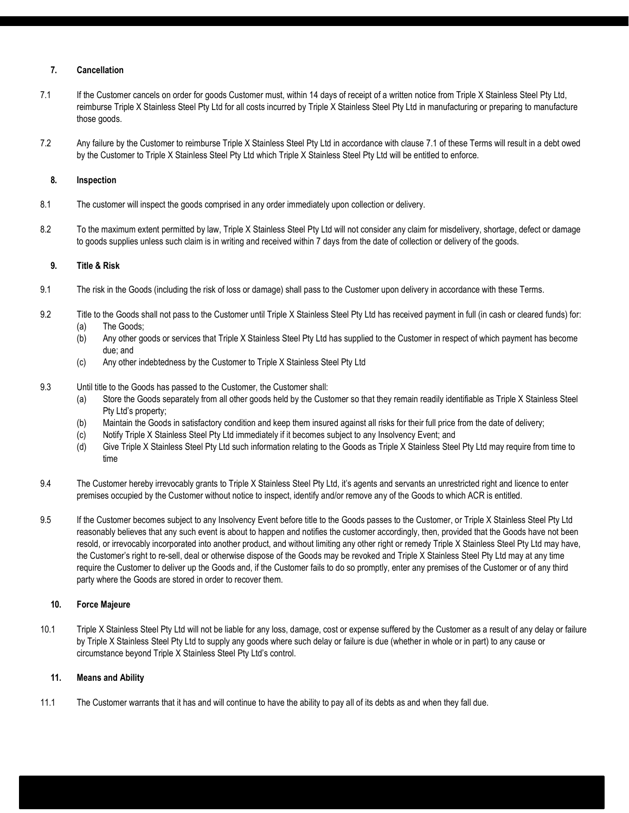# 7. Cancellation

- 7.1 If the Customer cancels on order for goods Customer must, within 14 days of receipt of a written notice from Triple X Stainless Steel Pty Ltd, reimburse Triple X Stainless Steel Pty Ltd for all costs incurred by Triple X Stainless Steel Pty Ltd in manufacturing or preparing to manufacture those goods.
- 7.2 Any failure by the Customer to reimburse Triple X Stainless Steel Pty Ltd in accordance with clause 7.1 of these Terms will result in a debt owed by the Customer to Triple X Stainless Steel Pty Ltd which Triple X Stainless Steel Pty Ltd will be entitled to enforce.

## 8. Inspection

- 8.1 The customer will inspect the goods comprised in any order immediately upon collection or delivery.
- 8.2 To the maximum extent permitted by law, Triple X Stainless Steel Pty Ltd will not consider any claim for misdelivery, shortage, defect or damage to goods supplies unless such claim is in writing and received within 7 days from the date of collection or delivery of the goods.

# 9. Title & Risk

- 9.1 The risk in the Goods (including the risk of loss or damage) shall pass to the Customer upon delivery in accordance with these Terms.
- 9.2 Title to the Goods shall not pass to the Customer until Triple X Stainless Steel Pty Ltd has received payment in full (in cash or cleared funds) for:
	- (a) The Goods;
	- (b) Any other goods or services that Triple X Stainless Steel Pty Ltd has supplied to the Customer in respect of which payment has become due; and
	- (c) Any other indebtedness by the Customer to Triple X Stainless Steel Pty Ltd
- 9.3 Until title to the Goods has passed to the Customer, the Customer shall:
	- (a) Store the Goods separately from all other goods held by the Customer so that they remain readily identifiable as Triple X Stainless Steel Pty Ltd's property;
	- (b) Maintain the Goods in satisfactory condition and keep them insured against all risks for their full price from the date of delivery;
	- (c) Notify Triple X Stainless Steel Pty Ltd immediately if it becomes subject to any Insolvency Event; and
	- (d) Give Triple X Stainless Steel Pty Ltd such information relating to the Goods as Triple X Stainless Steel Pty Ltd may require from time to time
- 9.4 The Customer hereby irrevocably grants to Triple X Stainless Steel Pty Ltd, it's agents and servants an unrestricted right and licence to enter premises occupied by the Customer without notice to inspect, identify and/or remove any of the Goods to which ACR is entitled.
- 9.5 If the Customer becomes subject to any Insolvency Event before title to the Goods passes to the Customer, or Triple X Stainless Steel Pty Ltd reasonably believes that any such event is about to happen and notifies the customer accordingly, then, provided that the Goods have not been resold, or irrevocably incorporated into another product, and without limiting any other right or remedy Triple X Stainless Steel Pty Ltd may have, the Customer's right to re-sell, deal or otherwise dispose of the Goods may be revoked and Triple X Stainless Steel Pty Ltd may at any time require the Customer to deliver up the Goods and, if the Customer fails to do so promptly, enter any premises of the Customer or of any third party where the Goods are stored in order to recover them.

# 10. Force Majeure

10.1 Triple X Stainless Steel Pty Ltd will not be liable for any loss, damage, cost or expense suffered by the Customer as a result of any delay or failure by Triple X Stainless Steel Pty Ltd to supply any goods where such delay or failure is due (whether in whole or in part) to any cause or circumstance beyond Triple X Stainless Steel Pty Ltd's control.

## 11. Means and Ability

11.1 The Customer warrants that it has and will continue to have the ability to pay all of its debts as and when they fall due.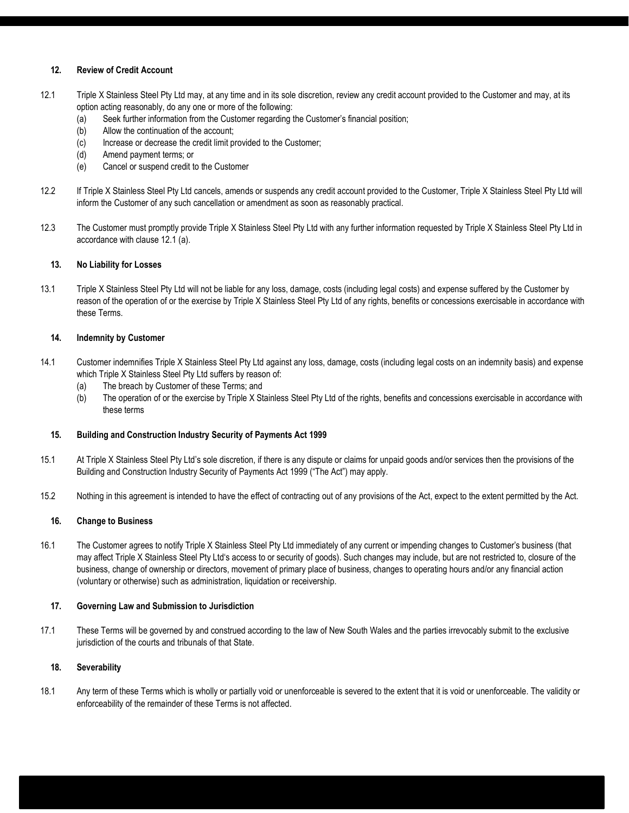# 12. Review of Credit Account

- 12.1 Triple X Stainless Steel Pty Ltd may, at any time and in its sole discretion, review any credit account provided to the Customer and may, at its option acting reasonably, do any one or more of the following:
	- (a) Seek further information from the Customer regarding the Customer's financial position;
	- (b) Allow the continuation of the account;
	- (c) Increase or decrease the credit limit provided to the Customer;
	- (d) Amend payment terms; or
	- (e) Cancel or suspend credit to the Customer
- 12.2 If Triple X Stainless Steel Pty Ltd cancels, amends or suspends any credit account provided to the Customer, Triple X Stainless Steel Pty Ltd will inform the Customer of any such cancellation or amendment as soon as reasonably practical.
- 12.3 The Customer must promptly provide Triple X Stainless Steel Pty Ltd with any further information requested by Triple X Stainless Steel Pty Ltd in accordance with clause 12.1 (a).

## 13. No Liability for Losses

13.1 Triple X Stainless Steel Pty Ltd will not be liable for any loss, damage, costs (including legal costs) and expense suffered by the Customer by reason of the operation of or the exercise by Triple X Stainless Steel Pty Ltd of any rights, benefits or concessions exercisable in accordance with these Terms.

### 14. Indemnity by Customer

- 14.1 Customer indemnifies Triple X Stainless Steel Pty Ltd against any loss, damage, costs (including legal costs on an indemnity basis) and expense which Triple X Stainless Steel Pty Ltd suffers by reason of:
	- (a) The breach by Customer of these Terms; and
	- (b) The operation of or the exercise by Triple X Stainless Steel Pty Ltd of the rights, benefits and concessions exercisable in accordance with these terms

#### 15. Building and Construction Industry Security of Payments Act 1999

- 15.1 At Triple X Stainless Steel Pty Ltd's sole discretion, if there is any dispute or claims for unpaid goods and/or services then the provisions of the Building and Construction Industry Security of Payments Act 1999 ("The Act") may apply.
- 15.2 Nothing in this agreement is intended to have the effect of contracting out of any provisions of the Act, expect to the extent permitted by the Act.

#### 16. Change to Business

16.1 The Customer agrees to notify Triple X Stainless Steel Pty Ltd immediately of any current or impending changes to Customer's business (that may affect Triple X Stainless Steel Pty Ltd's access to or security of goods). Such changes may include, but are not restricted to, closure of the business, change of ownership or directors, movement of primary place of business, changes to operating hours and/or any financial action (voluntary or otherwise) such as administration, liquidation or receivership.

#### 17. Governing Law and Submission to Jurisdiction

17.1 These Terms will be governed by and construed according to the law of New South Wales and the parties irrevocably submit to the exclusive jurisdiction of the courts and tribunals of that State.

#### 18. Severability

18.1 Any term of these Terms which is wholly or partially void or unenforceable is severed to the extent that it is void or unenforceable. The validity or enforceability of the remainder of these Terms is not affected.